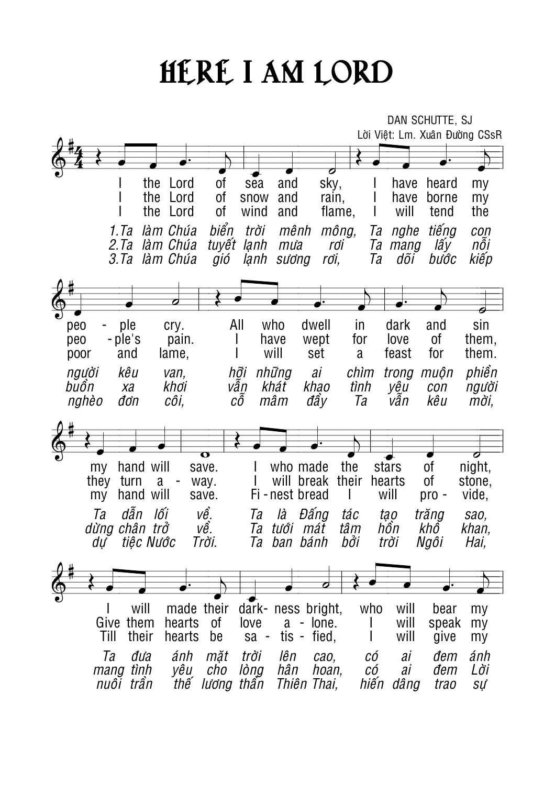## HERE I AM LORD

|                                                   |                                                           | DAN SCHUTTE, SJ                                               |
|---------------------------------------------------|-----------------------------------------------------------|---------------------------------------------------------------|
|                                                   |                                                           | Lời Việt: Lm. Xuân Đường CSsR                                 |
|                                                   |                                                           |                                                               |
|                                                   | O                                                         |                                                               |
| the<br>Lord                                       | 0f<br>sky,<br>sea<br>and                                  | heard<br>have<br>my                                           |
| the<br>Lord                                       | 0f<br>snow<br>and<br>rain,                                | have<br>borne<br>my                                           |
| the<br>Lord                                       | οf<br>wind<br>flame,<br>and                               | will<br>the<br>tend                                           |
| 1.Ta<br>làm Chúa                                  | biển<br>trời<br>mông,<br>mênh                             | tiếng<br>Ta<br>nghe<br>con                                    |
| 2.7a<br>làm Chúa                                  | tuyết<br>lạnh<br>mu'a<br>rơi                              | lấy<br>nôi<br>Ta<br>mang                                      |
| 3. Ta<br>làm Chúa                                 | lanh<br>rơi,<br>sường<br>gió                              | kiếp<br>Ta<br>dõi<br>bước                                     |
|                                                   |                                                           |                                                               |
|                                                   |                                                           |                                                               |
|                                                   |                                                           |                                                               |
| ple<br>peo<br>cry.                                | All<br>who<br>dwell                                       | sin<br>in<br>dark<br>and<br>love                              |
| - ple's<br>peo<br>pain.<br>and<br>lame,<br>poor   | have<br>wept<br>will<br>set                               | for<br>Οf<br>them,<br>feast<br>for<br>them.<br>a              |
|                                                   |                                                           |                                                               |
| kêu<br>người<br>van,<br>buồn<br>khơi<br>Xa        | hỡi<br>những<br>ai<br>vẫn<br>khát<br>khao                 | phiền<br>chìm<br>muộn<br>trong<br>tình<br>yêu<br>người<br>con |
| đơn<br>CÔİ,<br>nghèo                              | СÔ<br>mâm<br>đấy                                          | Ta<br>kêu<br>vân<br>mời,                                      |
|                                                   |                                                           |                                                               |
|                                                   |                                                           |                                                               |
|                                                   | $\overline{\mathbf{o}}$                                   | $\boldsymbol{\sigma}$                                         |
| hand will<br>my                                   | who made<br>save.                                         | the<br>0f<br>night,<br>stars                                  |
| they<br>turn<br>a                                 | will break<br>way.                                        | 0f<br>their<br>hearts<br>stone,                               |
| hand will<br>my                                   | Fi - nest bread<br>save.                                  | will<br>vide,<br>pro -                                        |
| dẫn<br>lối<br>Ta                                  | về.<br>Đấng<br>là<br>Ta                                   | tác<br>trăng<br>tao<br>sao,                                   |
| dừng chân trở                                     | vê.<br>tưới mát<br>Ta                                     | hồn<br>tâm<br>khô<br>khan,                                    |
| tiệc Nước<br>dư                                   | Trời.<br>Ta ban bánh                                      | bới<br>trời<br>Ngôi<br>Hai,                                   |
|                                                   |                                                           |                                                               |
|                                                   |                                                           |                                                               |
|                                                   |                                                           |                                                               |
| made their<br>will                                | dark- ness bright,                                        | who<br>will<br>my<br>bear                                     |
| them<br>hearts<br>Give<br>Till<br>their<br>hearts | 0f<br>$a -$ lone.<br>love<br>tis - fied,<br>sa -<br>be    | will<br>speak<br>my<br>will<br>give<br>my                     |
|                                                   |                                                           |                                                               |
| Ta<br>ánh<br>đưa<br>tình<br>yêu<br>mang           | mặt<br>trời<br>lên<br>cao,<br>hân<br>cho<br>lòng<br>hoan, | ánh<br>CÓ<br>ai<br>đem<br>Lời<br>СÓ<br>ai<br>đem              |
|                                                   |                                                           |                                                               |